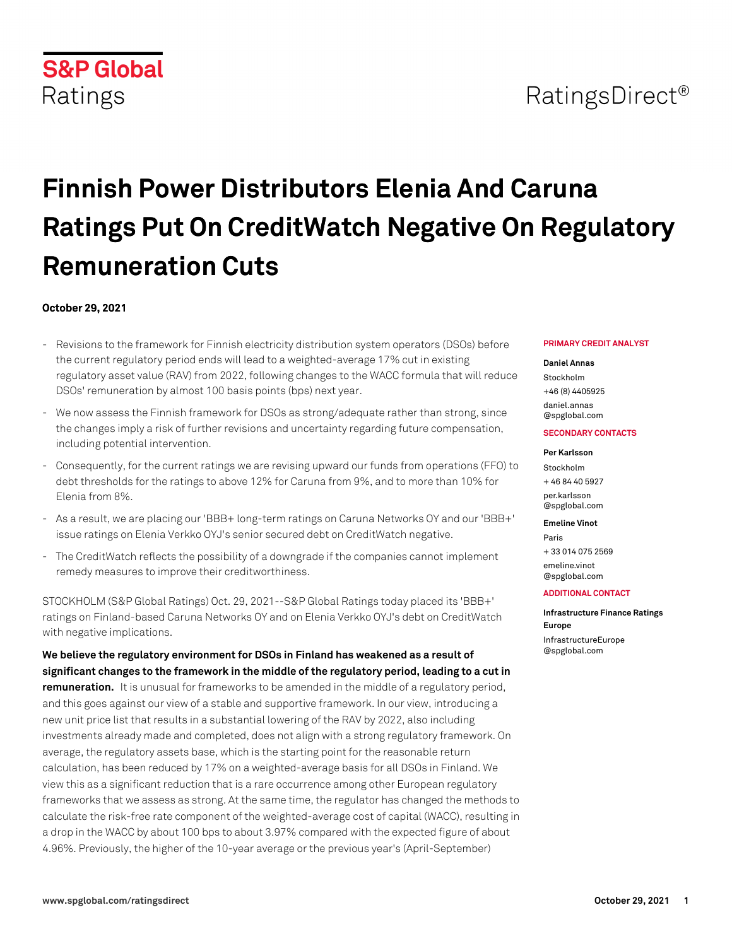# RatingsDirect<sup>®</sup>

# **Finnish Power Distributors Elenia And Caruna Ratings Put On CreditWatch Negative On Regulatory Remuneration Cuts**

#### **October 29, 2021**

- Revisions to the framework for Finnish electricity distribution system operators (DSOs) before the current regulatory period ends will lead to a weighted-average 17% cut in existing regulatory asset value (RAV) from 2022, following changes to the WACC formula that will reduce DSOs' remuneration by almost 100 basis points (bps) next year.
- We now assess the Finnish framework for DSOs as strong/adequate rather than strong, since the changes imply a risk of further revisions and uncertainty regarding future compensation, including potential intervention.
- Consequently, for the current ratings we are revising upward our funds from operations (FFO) to debt thresholds for the ratings to above 12% for Caruna from 9%, and to more than 10% for Elenia from 8%.
- As a result, we are placing our 'BBB+ long-term ratings on Caruna Networks OY and our 'BBB+' issue ratings on Elenia Verkko OYJ's senior secured debt on CreditWatch negative.
- The CreditWatch reflects the possibility of a downgrade if the companies cannot implement remedy measures to improve their creditworthiness.

STOCKHOLM (S&P Global Ratings) Oct. 29, 2021--S&P Global Ratings today placed its 'BBB+' ratings on Finland-based Caruna Networks OY and on Elenia Verkko OYJ's debt on CreditWatch with negative implications.

**We believe the regulatory environment for DSOs in Finland has weakened as a result of significant changes to the framework in the middle of the regulatory period, leading to a cut in remuneration.** It is unusual for frameworks to be amended in the middle of a regulatory period, and this goes against our view of a stable and supportive framework. In our view, introducing a new unit price list that results in a substantial lowering of the RAV by 2022, also including investments already made and completed, does not align with a strong regulatory framework. On average, the regulatory assets base, which is the starting point for the reasonable return calculation, has been reduced by 17% on a weighted-average basis for all DSOs in Finland. We view this as a significant reduction that is a rare occurrence among other European regulatory frameworks that we assess as strong. At the same time, the regulator has changed the methods to calculate the risk-free rate component of the weighted-average cost of capital (WACC), resulting in a drop in the WACC by about 100 bps to about 3.97% compared with the expected figure of about 4.96%. Previously, the higher of the 10-year average or the previous year's (April-September)

#### **PRIMARY CREDIT ANALYST**

#### **Daniel Annas**

Stockholm +46 (8) 4405925 [daniel.annas](mailto: daniel.annas@spglobal.com) [@spglobal.com](mailto: daniel.annas@spglobal.com)

#### **SECONDARY CONTACTS**

#### **Per Karlsson**

Stockholm + 46 84 40 5927 [per.karlsson](mailto: per.karlsson@spglobal.com) [@spglobal.com](mailto: per.karlsson@spglobal.com)

#### **Emeline Vinot**

Paris + 33 014 075 2569 [emeline.vinot](mailto: emeline.vinot@spglobal.com)

[@spglobal.com](mailto: emeline.vinot@spglobal.com)

#### **ADDITIONAL CONTACT**

**Infrastructure Finance Ratings Europe** [InfrastructureEurope](mailto: InfrastructureEurope@spglobal.com) [@spglobal.com](mailto: InfrastructureEurope@spglobal.com)

# **S&P Global** Ratings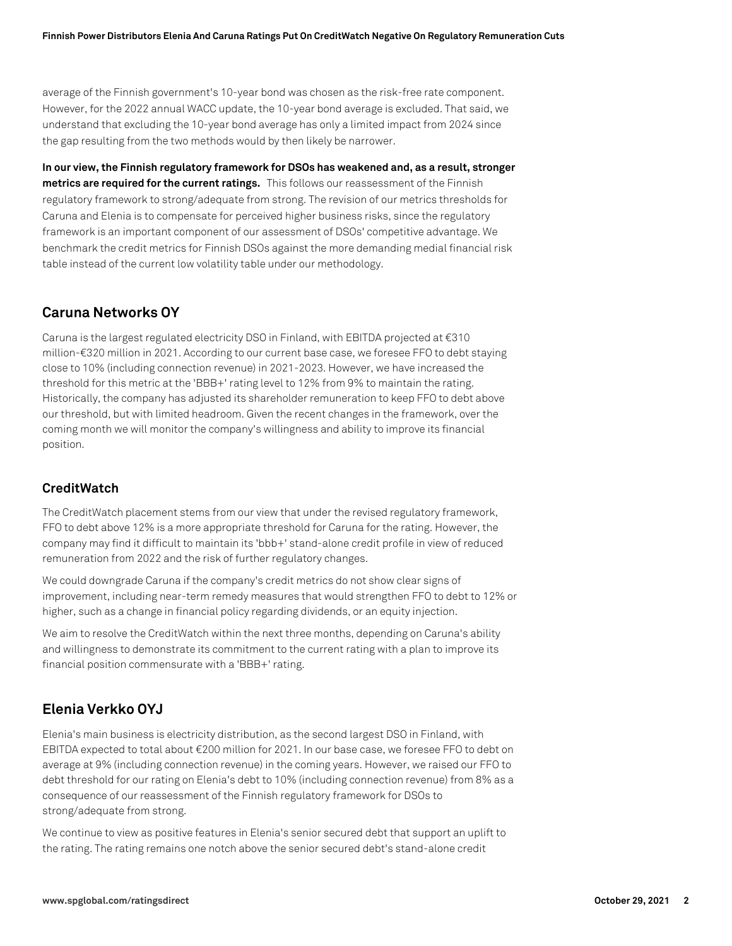average of the Finnish government's 10-year bond was chosen as the risk-free rate component. However, for the 2022 annual WACC update, the 10-year bond average is excluded. That said, we understand that excluding the 10-year bond average has only a limited impact from 2024 since the gap resulting from the two methods would by then likely be narrower.

**In our view, the Finnish regulatory framework for DSOs has weakened and, as a result, stronger metrics are required for the current ratings.** This follows our reassessment of the Finnish regulatory framework to strong/adequate from strong. The revision of our metrics thresholds for Caruna and Elenia is to compensate for perceived higher business risks, since the regulatory framework is an important component of our assessment of DSOs' competitive advantage. We benchmark the credit metrics for Finnish DSOs against the more demanding medial financial risk table instead of the current low volatility table under our methodology.

## **Caruna Networks OY**

Caruna is the largest regulated electricity DSO in Finland, with EBITDA projected at  $\epsilon$ 310 million-€320 million in 2021. According to our current base case, we foresee FFO to debt staying close to 10% (including connection revenue) in 2021-2023. However, we have increased the threshold for this metric at the 'BBB+' rating level to 12% from 9% to maintain the rating. Historically, the company has adjusted its shareholder remuneration to keep FFO to debt above our threshold, but with limited headroom. Given the recent changes in the framework, over the coming month we will monitor the company's willingness and ability to improve its financial position.

### **CreditWatch**

The CreditWatch placement stems from our view that under the revised regulatory framework, FFO to debt above 12% is a more appropriate threshold for Caruna for the rating. However, the company may find it difficult to maintain its 'bbb+' stand-alone credit profile in view of reduced remuneration from 2022 and the risk of further regulatory changes.

We could downgrade Caruna if the company's credit metrics do not show clear signs of improvement, including near-term remedy measures that would strengthen FFO to debt to 12% or higher, such as a change in financial policy regarding dividends, or an equity injection.

We aim to resolve the CreditWatch within the next three months, depending on Caruna's ability and willingness to demonstrate its commitment to the current rating with a plan to improve its financial position commensurate with a 'BBB+' rating.

# **Elenia Verkko OYJ**

Elenia's main business is electricity distribution, as the second largest DSO in Finland, with EBITDA expected to total about €200 million for 2021. In our base case, we foresee FFO to debt on average at 9% (including connection revenue) in the coming years. However, we raised our FFO to debt threshold for our rating on Elenia's debt to 10% (including connection revenue) from 8% as a consequence of our reassessment of the Finnish regulatory framework for DSOs to strong/adequate from strong.

We continue to view as positive features in Elenia's senior secured debt that support an uplift to the rating. The rating remains one notch above the senior secured debt's stand-alone credit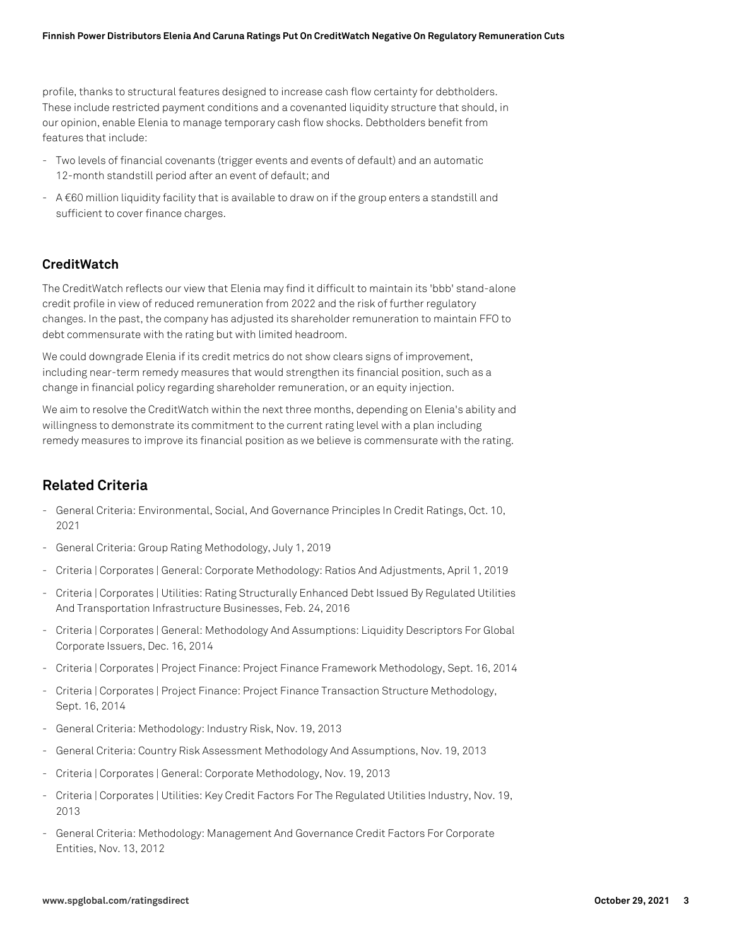profile, thanks to structural features designed to increase cash flow certainty for debtholders. These include restricted payment conditions and a covenanted liquidity structure that should, in our opinion, enable Elenia to manage temporary cash flow shocks. Debtholders benefit from features that include:

- Two levels of financial covenants (trigger events and events of default) and an automatic 12-month standstill period after an event of default; and
- A €60 million liquidity facility that is available to draw on if the group enters a standstill and sufficient to cover finance charges.

## **CreditWatch**

The CreditWatch reflects our view that Elenia may find it difficult to maintain its 'bbb' stand-alone credit profile in view of reduced remuneration from 2022 and the risk of further regulatory changes. In the past, the company has adjusted its shareholder remuneration to maintain FFO to debt commensurate with the rating but with limited headroom.

We could downgrade Elenia if its credit metrics do not show clears signs of improvement, including near-term remedy measures that would strengthen its financial position, such as a change in financial policy regarding shareholder remuneration, or an equity injection.

We aim to resolve the CreditWatch within the next three months, depending on Elenia's ability and willingness to demonstrate its commitment to the current rating level with a plan including remedy measures to improve its financial position as we believe is commensurate with the rating.

# **Related Criteria**

- General Criteria: Environmental, Social, And Governance Principles In Credit Ratings, Oct. 10, 2021
- General Criteria: Group Rating Methodology, July 1, 2019
- Criteria | Corporates | General: Corporate Methodology: Ratios And Adjustments, April 1, 2019
- Criteria | Corporates | Utilities: Rating Structurally Enhanced Debt Issued By Regulated Utilities And Transportation Infrastructure Businesses, Feb. 24, 2016
- Criteria | Corporates | General: Methodology And Assumptions: Liquidity Descriptors For Global Corporate Issuers, Dec. 16, 2014
- Criteria | Corporates | Project Finance: Project Finance Framework Methodology, Sept. 16, 2014
- Criteria | Corporates | Project Finance: Project Finance Transaction Structure Methodology, Sept. 16, 2014
- General Criteria: Methodology: Industry Risk, Nov. 19, 2013
- General Criteria: Country Risk Assessment Methodology And Assumptions, Nov. 19, 2013
- Criteria | Corporates | General: Corporate Methodology, Nov. 19, 2013
- Criteria | Corporates | Utilities: Key Credit Factors For The Regulated Utilities Industry, Nov. 19, 2013
- General Criteria: Methodology: Management And Governance Credit Factors For Corporate Entities, Nov. 13, 2012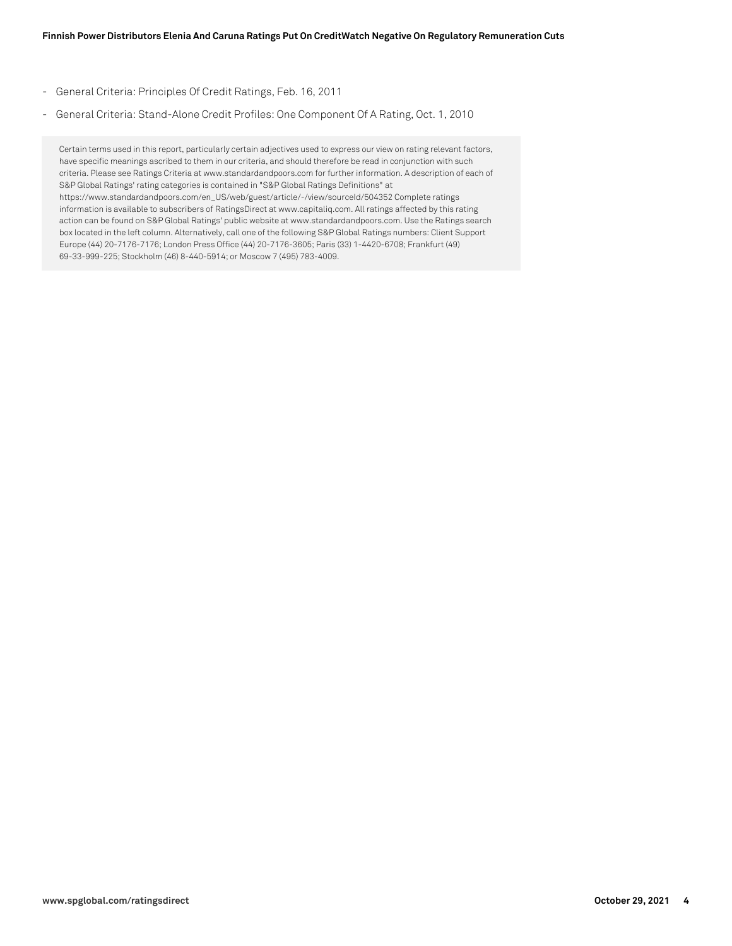- General Criteria: Principles Of Credit Ratings, Feb. 16, 2011
- General Criteria: Stand-Alone Credit Profiles: One Component Of A Rating, Oct. 1, 2010

Certain terms used in this report, particularly certain adjectives used to express our view on rating relevant factors, have specific meanings ascribed to them in our criteria, and should therefore be read in conjunction with such criteria. Please see Ratings Criteria at www.standardandpoors.com for further information. A description of each of S&P Global Ratings' rating categories is contained in "S&P Global Ratings Definitions" at https://www.standardandpoors.com/en\_US/web/guest/article/-/view/sourceId/504352 Complete ratings information is available to subscribers of RatingsDirect at www.capitaliq.com. All ratings affected by this rating action can be found on S&P Global Ratings' public website at www.standardandpoors.com. Use the Ratings search box located in the left column. Alternatively, call one of the following S&P Global Ratings numbers: Client Support Europe (44) 20-7176-7176; London Press Office (44) 20-7176-3605; Paris (33) 1-4420-6708; Frankfurt (49) 69-33-999-225; Stockholm (46) 8-440-5914; or Moscow 7 (495) 783-4009.